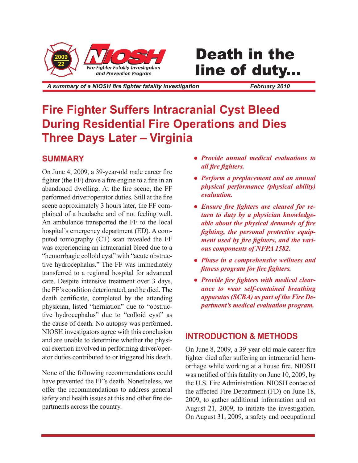

# **Death in the** line of duty...

A summary of a NIOSH fire fighter fatality investigation

*February 2010*

# **Fire Fighter Suffers Intracranial Cyst Bleed During Residential Fire Operations and Dies Three Days Later – Virginia**

## **SUMMARY**

On June 4, 2009, a 39-year-old male career fire fighter (the FF) drove a fire engine to a fire in an abandoned dwelling. At the fire scene, the FF performed driver/operator duties. Still at the fire scene approximately 3 hours later, the FF complained of a headache and of not feeling well. An ambulance transported the FF to the local hospital's emergency department (ED). A computed tomography (CT) scan revealed the FF was experiencing an intracranial bleed due to a "hemorrhagic colloid cyst" with "acute obstructive hydrocephalus." The FF was immediately transferred to a regional hospital for advanced care. Despite intensive treatment over 3 days, the FF's condition deteriorated, and he died. The death certificate, completed by the attending physician, listed "herniation" due to "obstructive hydrocephalus" due to "colloid cyst" as the cause of death. No autopsy was performed. NIOSH investigators agree with this conclusion and are unable to determine whether the physical exertion involved in performing driver/operator duties contributed to or triggered his death.

None of the following recommendations could have prevented the FF's death. Nonetheless, we offer the recommendations to address general safety and health issues at this and other fire departments across the country.

- *Provide annual medical evaluations to all fire fighters.*
- *Perform a preplacement and an annual physical performance (physical ability) evaluation.*
- *Ensure fire fighters are cleared for return to duty by a physician knowledgeable about the physical demands of fire fighting, the personal protective equipment used by fire fighters, and the various components of NFPA 1582.*
- *Phase in a comprehensive wellness and fitness program for fire fighters.*
- *Provide fire fighters with medical clearance to wear self-contained breathing apparatus (SCBA) as part of the Fire Department's medical evaluation program.*

## **INTRODUCTION & METHODS**

On June 8, 2009, a 39-year-old male career fire fighter died after suffering an intracranial hemorrhage while working at a house fire. NIOSH was notified of this fatality on June 10, 2009, by the U.S. Fire Administration. NIOSH contacted the affected Fire Department (FD) on June 18, 2009, to gather additional information and on August 21, 2009, to initiate the investigation. On August 31, 2009, a safety and occupational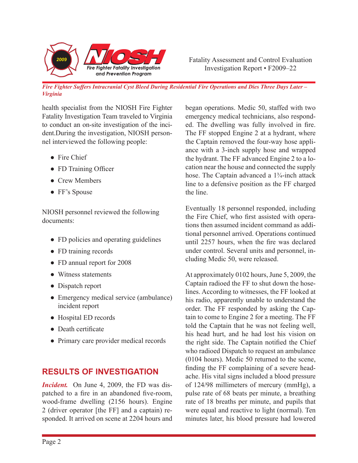

*Fire Fighter Suffers Intracranial Cyst Bleed During Residential Fire Operations and Dies Three Days Later – Virginia*

health specialist from the NIOSH Fire Fighter Fatality Investigation Team traveled to Virginia to conduct an on-site investigation of the incident.During the investigation, NIOSH personnel interviewed the following people:

- Fire Chief
- FD Training Officer
- Crew Members
- FF's Spouse

NIOSH personnel reviewed the following documents:

- FD policies and operating guidelines
- FD training records
- FD annual report for 2008
- Witness statements
- Dispatch report
- Emergency medical service (ambulance) incident report
- Hospital ED records
- Death certificate
- Primary care provider medical records

## **RESULTS OF INVESTIGATION**

*Incident.* On June 4, 2009, the FD was dispatched to a fire in an abandoned five-room, wood-frame dwelling (2156 hours). Engine 2 (driver operator [the FF] and a captain) responded. It arrived on scene at 2204 hours and

began operations. Medic 50, staffed with two emergency medical technicians, also responded. The dwelling was fully involved in fire. The FF stopped Engine 2 at a hydrant, where the Captain removed the four-way hose appliance with a 3-inch supply hose and wrapped the hydrant. The FF advanced Engine 2 to a location near the house and connected the supply hose. The Captain advanced a 1<sup>3</sup>/<sub>4</sub>-inch attack line to a defensive position as the FF charged the line.

Eventually 18 personnel responded, including the Fire Chief, who first assisted with operations then assumed incident command as additional personnel arrived. Operations continued until 2257 hours, when the fire was declared under control. Several units and personnel, including Medic 50, were released.

At approximately 0102 hours, June 5, 2009, the Captain radioed the FF to shut down the hoselines. According to witnesses, the FF looked at his radio, apparently unable to understand the order. The FF responded by asking the Captain to come to Engine 2 for a meeting. The FF told the Captain that he was not feeling well, his head hurt, and he had lost his vision on the right side. The Captain notified the Chief who radioed Dispatch to request an ambulance (0104 hours). Medic 50 returned to the scene, finding the FF complaining of a severe headache. His vital signs included a blood pressure of 124/98 millimeters of mercury (mmHg), a pulse rate of 68 beats per minute, a breathing rate of 18 breaths per minute, and pupils that were equal and reactive to light (normal). Ten minutes later, his blood pressure had lowered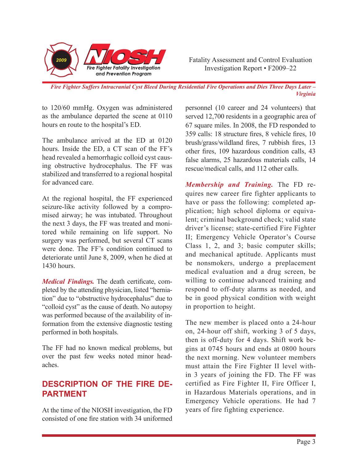

*Fire Fighter Suffers Intracranial Cyst Bleed During Residential Fire Operations and Dies Three Days Later – Virginia*

to 120/60 mmHg. Oxygen was administered as the ambulance departed the scene at 0110 hours en route to the hospital's ED.

The ambulance arrived at the ED at 0120 hours. Inside the ED, a CT scan of the FF's head revealed a hemorrhagic colloid cyst causing obstructive hydrocephalus. The FF was stabilized and transferred to a regional hospital for advanced care.

At the regional hospital, the FF experienced seizure-like activity followed by a compromised airway; he was intubated. Throughout the next 3 days, the FF was treated and monitored while remaining on life support. No surgery was performed, but several CT scans were done. The FF's condition continued to deteriorate until June 8, 2009, when he died at 1430 hours.

*Medical Findings.* The death certificate, completed by the attending physician, listed "herniation" due to "obstructive hydrocephalus" due to "colloid cyst" as the cause of death. No autopsy was performed because of the availability of information from the extensive diagnostic testing performed in both hospitals.

The FF had no known medical problems, but over the past few weeks noted minor headaches.

# **DESCRIPTION OF THE FIRE DE-PARTMENT**

At the time of the NIOSH investigation, the FD consisted of one fire station with 34 uniformed

personnel (10 career and 24 volunteers) that served 12,700 residents in a geographic area of 67 square miles. In 2008, the FD responded to 359 calls: 18 structure fires, 8 vehicle fires, 10 brush/grass/wildland fires, 7 rubbish fires, 13 other fires, 109 hazardous condition calls, 43 false alarms, 25 hazardous materials calls, 14 rescue/medical calls, and 112 other calls.

*Membership and Training.* The FD requires new career fire fighter applicants to have or pass the following: completed application; high school diploma or equivalent; criminal background check; valid state driver's license; state-certified Fire Fighter II; Emergency Vehicle Operator's Course Class 1, 2, and 3; basic computer skills; and mechanical aptitude. Applicants must be nonsmokers, undergo a preplacement medical evaluation and a drug screen, be willing to continue advanced training and respond to off-duty alarms as needed, and be in good physical condition with weight in proportion to height.

The new member is placed onto a 24-hour on, 24-hour off shift, working 3 of 5 days, then is off-duty for 4 days. Shift work begins at 0745 hours and ends at 0800 hours the next morning. New volunteer members must attain the Fire Fighter II level within 3 years of joining the FD. The FF was certified as Fire Fighter II, Fire Officer I, in Hazardous Materials operations, and in Emergency Vehicle operations. He had 7 years of fire fighting experience.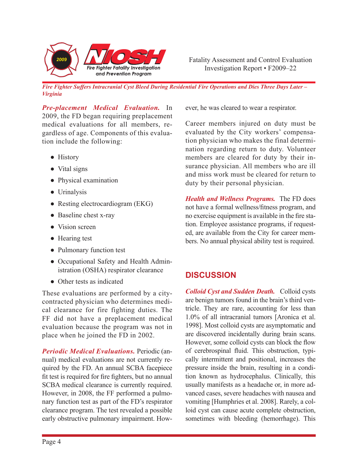

*Fire Fighter Suffers Intracranial Cyst Bleed During Residential Fire Operations and Dies Three Days Later – Virginia*

*Pre-placement Medical Evaluation.* In 2009, the FD began requiring preplacement medical evaluations for all members, regardless of age. Components of this evaluation include the following:

- History
- Vital signs
- Physical examination
- Urinalysis
- Resting electrocardiogram (EKG)
- Baseline chest x-ray
- Vision screen
- Hearing test
- Pulmonary function test
- Occupational Safety and Health Administration (OSHA) respirator clearance
- Other tests as indicated

These evaluations are performed by a citycontracted physician who determines medical clearance for fire fighting duties. The FF did not have a preplacement medical evaluation because the program was not in place when he joined the FD in 2002.

*Periodic Medical Evaluations.* Periodic (annual) medical evaluations are not currently required by the FD. An annual SCBA facepiece fit test is required for fire fighters, but no annual SCBA medical clearance is currently required. However, in 2008, the FF performed a pulmonary function test as part of the FD's respirator clearance program. The test revealed a possible early obstructive pulmonary impairment. However, he was cleared to wear a respirator.

Career members injured on duty must be evaluated by the City workers' compensation physician who makes the final determination regarding return to duty. Volunteer members are cleared for duty by their insurance physician. All members who are ill and miss work must be cleared for return to duty by their personal physician.

*Health and Wellness Programs.* The FD does not have a formal wellness/fitness program, and no exercise equipment is available in the fire station. Employee assistance programs, if requested, are available from the City for career members. No annual physical ability test is required.

# **DISCUSSION**

*Colloid Cyst and Sudden Death.* Colloid cysts are benign tumors found in the brain's third ventricle. They are rare, accounting for less than 1.0% of all intracranial tumors [Aronica et al. 1998]. Most colloid cysts are asymptomatic and are discovered incidentally during brain scans. However, some colloid cysts can block the flow of cerebrospinal fluid. This obstruction, typically intermittent and positional, increases the pressure inside the brain, resulting in a condition known as hydrocephalus. Clinically, this usually manifests as a headache or, in more advanced cases, severe headaches with nausea and vomiting [Humphries et al. 2008]. Rarely, a colloid cyst can cause acute complete obstruction, sometimes with bleeding (hemorrhage). This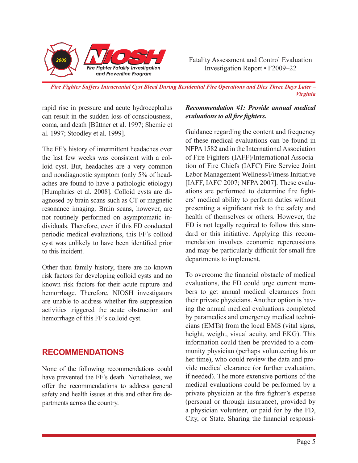

*Fire Fighter Suffers Intracranial Cyst Bleed During Residential Fire Operations and Dies Three Days Later – Virginia*

rapid rise in pressure and acute hydrocephalus can result in the sudden loss of consciousness, coma, and death [Büttner et al. 1997; Shemie et al. 1997; Stoodley et al. 1999].

The FF's history of intermittent headaches over the last few weeks was consistent with a colloid cyst. But, headaches are a very common and nondiagnostic symptom (only 5% of headaches are found to have a pathologic etiology) [Humphries et al. 2008]. Colloid cysts are diagnosed by brain scans such as CT or magnetic resonance imaging. Brain scans, however, are not routinely performed on asymptomatic individuals. Therefore, even if this FD conducted periodic medical evaluations, this FF's colloid cyst was unlikely to have been identified prior to this incident.

Other than family history, there are no known risk factors for developing colloid cysts and no known risk factors for their acute rupture and hemorrhage. Therefore, NIOSH investigators are unable to address whether fire suppression activities triggered the acute obstruction and hemorrhage of this FF's colloid cyst.

#### **RECOMMENDATIONS**

None of the following recommendations could have prevented the FF's death. Nonetheless, we offer the recommendations to address general safety and health issues at this and other fire departments across the country.

#### *Recommendation #1: Provide annual medical evaluations to all fire fighters.*

Guidance regarding the content and frequency of these medical evaluations can be found in NFPA 1582 and in the International Association of Fire Fighters (IAFF)/International Association of Fire Chiefs (IAFC) Fire Service Joint Labor Management Wellness/Fitness Initiative [IAFF, IAFC 2007; NFPA 2007]. These evaluations are performed to determine fire fighters' medical ability to perform duties without presenting a significant risk to the safety and health of themselves or others. However, the FD is not legally required to follow this standard or this initiative. Applying this recommendation involves economic repercussions and may be particularly difficult for small fire departments to implement.

To overcome the financial obstacle of medical evaluations, the FD could urge current members to get annual medical clearances from their private physicians. Another option is having the annual medical evaluations completed by paramedics and emergency medical technicians (EMTs) from the local EMS (vital signs, height, weight, visual acuity, and EKG). This information could then be provided to a community physician (perhaps volunteering his or her time), who could review the data and provide medical clearance (or further evaluation, if needed). The more extensive portions of the medical evaluations could be performed by a private physician at the fire fighter's expense (personal or through insurance), provided by a physician volunteer, or paid for by the FD, City, or State. Sharing the financial responsi-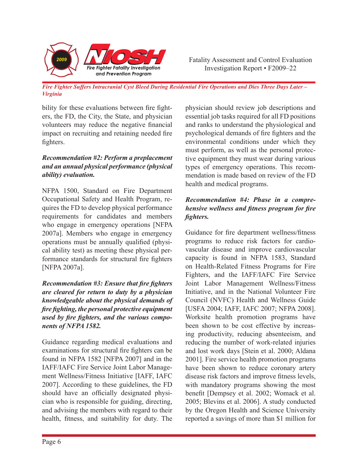

*Fire Fighter Suffers Intracranial Cyst Bleed During Residential Fire Operations and Dies Three Days Later – Virginia*

bility for these evaluations between fire fighters, the FD, the City, the State, and physician volunteers may reduce the negative financial impact on recruiting and retaining needed fire fighters.

#### *Recommendation #2: Perform a preplacement and an annual physical performance (physical ability) evaluation.*

NFPA 1500, Standard on Fire Department Occupational Safety and Health Program, requires the FD to develop physical performance requirements for candidates and members who engage in emergency operations [NFPA 2007a]. Members who engage in emergency operations must be annually qualified (physical ability test) as meeting these physical performance standards for structural fire fighters [NFPA 2007a].

*Recommendation #3: Ensure that fire fighters are cleared for return to duty by a physician knowledgeable about the physical demands of fire fighting, the personal protective equipment used by fire fighters, and the various components of NFPA 1582.*

Guidance regarding medical evaluations and examinations for structural fire fighters can be found in NFPA 1582 [NFPA 2007] and in the IAFF/IAFC Fire Service Joint Labor Management Wellness/Fitness Initiative [IAFF, IAFC 2007]. According to these guidelines, the FD should have an officially designated physician who is responsible for guiding, directing, and advising the members with regard to their health, fitness, and suitability for duty. The physician should review job descriptions and essential job tasks required for all FD positions and ranks to understand the physiological and psychological demands of fire fighters and the environmental conditions under which they must perform, as well as the personal protective equipment they must wear during various types of emergency operations. This recommendation is made based on review of the FD health and medical programs.

#### *Recommendation #4: Phase in a comprehensive wellness and fitness program for fire fighters.*

Guidance for fire department wellness/fitness programs to reduce risk factors for cardiovascular disease and improve cardiovascular capacity is found in NFPA 1583, Standard on Health-Related Fitness Programs for Fire Fighters, and the IAFF/IAFC Fire Service Joint Labor Management Wellness/Fitness Initiative, and in the National Volunteer Fire Council (NVFC) Health and Wellness Guide [USFA 2004; IAFF, IAFC 2007; NFPA 2008]. Worksite health promotion programs have been shown to be cost effective by increasing productivity, reducing absenteeism, and reducing the number of work-related injuries and lost work days [Stein et al. 2000; Aldana 2001]. Fire service health promotion programs have been shown to reduce coronary artery disease risk factors and improve fitness levels, with mandatory programs showing the most benefit [Dempsey et al. 2002; Womack et al. 2005; Blevins et al. 2006]. A study conducted by the Oregon Health and Science University reported a savings of more than \$1 million for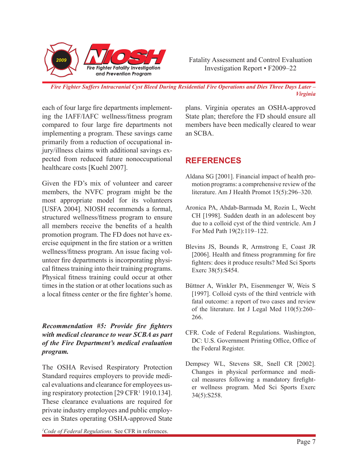

*Fire Fighter Suffers Intracranial Cyst Bleed During Residential Fire Operations and Dies Three Days Later – Virginia*

each of four large fire departments implementing the IAFF/IAFC wellness/fitness program compared to four large fire departments not implementing a program. These savings came primarily from a reduction of occupational injury/illness claims with additional savings expected from reduced future nonoccupational healthcare costs [Kuehl 2007].

Given the FD's mix of volunteer and career members, the NVFC program might be the most appropriate model for its volunteers [USFA 2004]. NIOSH recommends a formal, structured wellness/fitness program to ensure all members receive the benefits of a health promotion program. The FD does not have exercise equipment in the fire station or a written wellness/fitness program. An issue facing volunteer fire departments is incorporating physical fitness training into their training programs. Physical fitness training could occur at other times in the station or at other locations such as a local fitness center or the fire fighter's home.

#### *Recommendation #5: Provide fire fighters with medical clearance to wear SCBA as part of the Fire Department's medical evaluation program.*

The OSHA Revised Respiratory Protection Standard requires employers to provide medical evaluations and clearance for employees using respiratory protection [29 CFR1 1910.134]. These clearance evaluations are required for private industry employees and public employees in States operating OSHA-approved State

plans. Virginia operates an OSHA-approved State plan; therefore the FD should ensure all members have been medically cleared to wear an SCBA.

# **REFERENCES**

- Aldana SG [2001]. Financial impact of health promotion programs: a comprehensive review of the literature. Am J Health Promot 15(5):296–320.
- Aronica PA, Ahdab-Barmada M, Rozin L, Wecht CH [1998]. Sudden death in an adolescent boy due to a colloid cyst of the third ventricle. Am J For Med Path 19(2):119–122.
- Blevins JS, Bounds R, Armstrong E, Coast JR [2006]. Health and fitness programming for fire fighters: does it produce results? Med Sci Sports Exerc 38(5):S454.
- Büttner A, Winkler PA, Eisenmenger W, Weis S [1997]. Colloid cysts of the third ventricle with fatal outcome: a report of two cases and review of the literature. Int J Legal Med 110(5):260– 266.
- CFR. Code of Federal Regulations. Washington, DC: U.S. Government Printing Office, Office of the Federal Register.
- Dempsey WL, Stevens SR, Snell CR [2002]. Changes in physical performance and medical measures following a mandatory firefighter wellness program. Med Sci Sports Exerc 34(5):S258.

*1 Code of Federal Regulations.* See CFR in references.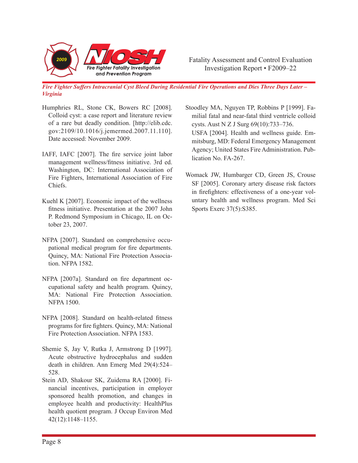

*Fire Fighter Suffers Intracranial Cyst Bleed During Residential Fire Operations and Dies Three Days Later – Virginia*

- Humphries RL, Stone CK, Bowers RC [2008]. Colloid cyst: a case report and literature review of a rare but deadly condition. [http://elib.cdc. gov:2109/10.1016/j.jemermed.2007.11.110]. Date accessed: November 2009.
- IAFF, IAFC [2007]. The fire service joint labor management wellness/fitness initiative. 3rd ed. Washington, DC: International Association of Fire Fighters, International Association of Fire Chiefs.
- Kuehl K [2007]. Economic impact of the wellness fitness initiative. Presentation at the 2007 John P. Redmond Symposium in Chicago, IL on October 23, 2007.
- NFPA [2007]. Standard on comprehensive occupational medical program for fire departments. Quincy, MA: National Fire Protection Association. NFPA 1582.
- NFPA [2007a]. Standard on fire department occupational safety and health program. Quincy, MA: National Fire Protection Association. NFPA 1500.
- NFPA [2008]. Standard on health-related fitness programs for fire fighters. Quincy, MA: National Fire Protection Association. NFPA 1583.
- Shemie S, Jay V, Rutka J, Armstrong D [1997]. Acute obstructive hydrocephalus and sudden death in children. Ann Emerg Med 29(4):524– 528.
- Stein AD, Shakour SK, Zuidema RA [2000]. Financial incentives, participation in employer sponsored health promotion, and changes in employee health and productivity: HealthPlus health quotient program. J Occup Environ Med 42(12):1148–1155.

Stoodley MA, Nguyen TP, Robbins P [1999]. Familial fatal and near-fatal third ventricle colloid cysts. Aust N Z J Surg 69(10):733–736. USFA [2004]. Health and wellness guide. Emmitsburg, MD: Federal Emergency Management Agency; United States Fire Administration. Publication No. FA-267.

Womack JW, Humbarger CD, Green JS, Crouse SF [2005]. Coronary artery disease risk factors in firefighters: effectiveness of a one-year voluntary health and wellness program. Med Sci Sports Exerc 37(5):S385.